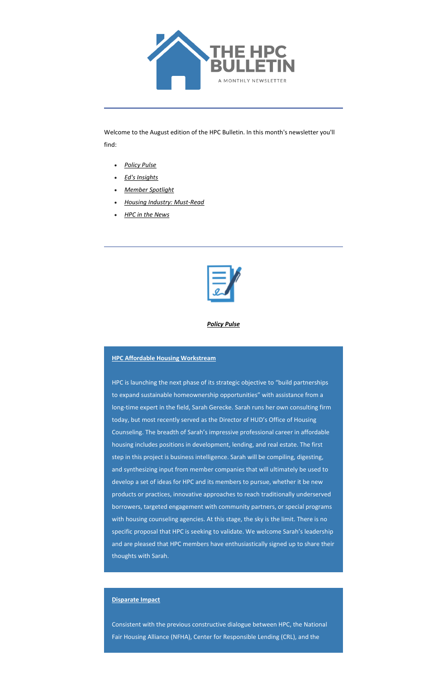

Welcome to the August edition of the HPC Bulletin. In this month's newsletter you'll find:

- *[Policy Pulse](#page-0-0)*
- *[Ed's Insights](#page-2-0)*
- *[Member Spotlight](#page-4-0)*
- *[Housing Industry: Must-Read](#page-4-1)*
- *[HPC in the News](#page-5-0)*



*Policy Pulse*

# <span id="page-0-0"></span>**HPC Affordable Housing Workstream**

HPC is launching the next phase of its strategic objective to "build partnerships to expand sustainable homeownership opportunities" with assistance from a long-time expert in the field, Sarah Gerecke. Sarah runs her own consulting firm today, but most recently served as the Director of HUD's Office of Housing Counseling. The breadth of Sarah's impressive professional career in affordable housing includes positions in development, lending, and real estate. The first step in this project is business intelligence. Sarah will be compiling, digesting, and synthesizing input from member companies that will ultimately be used to develop a set of ideas for HPC and its members to pursue, whether it be new products or practices, innovative approaches to reach traditionally underserved borrowers, targeted engagement with community partners, or special programs with housing counseling agencies. At this stage, the sky is the limit. There is no specific proposal that HPC is seeking to validate. We welcome Sarah's leadership and are pleased that HPC members have enthusiastically signed up to share their thoughts with Sarah.

#### **Disparate Impact**

Consistent with the previous constructive dialogue between HPC, the National Fair Housing Alliance (NFHA), Center for Responsible Lending (CRL), and the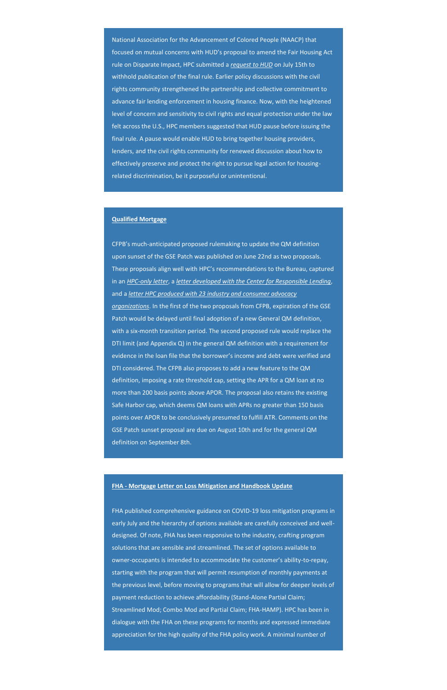National Association for the Advancement of Colored People (NAACP) that focused on mutual concerns with HUD's proposal to amend the Fair Housing Act rule on Disparate Impact, HPC submitted a *[request to HUD](https://housingpolicycouncil.us4.list-manage.com/track/click?u=5140623077e4523696cc45400&id=595258c032&e=c1f6e13f3b)* on July 15th to withhold publication of the final rule. Earlier policy discussions with the civil rights community strengthened the partnership and collective commitment to advance fair lending enforcement in housing finance. Now, with the heightened level of concern and sensitivity to civil rights and equal protection under the law felt across the U.S., HPC members suggested that HUD pause before issuing the final rule. A pause would enable HUD to bring together housing providers, lenders, and the civil rights community for renewed discussion about how to effectively preserve and protect the right to pursue legal action for housingrelated discrimination, be it purposeful or unintentional.

### **Qualified Mortgage**

CFPB's much-anticipated proposed rulemaking to update the QM definition upon sunset of the GSE Patch was published on June 22nd as two proposals. These proposals align well with HPC's recommendations to the Bureau, captured in an *[HPC-only letter](https://housingpolicycouncil.us4.list-manage.com/track/click?u=5140623077e4523696cc45400&id=fb039e7b4e&e=c1f6e13f3b)*, a *[letter developed with the Center for Responsible Lending](https://housingpolicycouncil.us4.list-manage.com/track/click?u=5140623077e4523696cc45400&id=953c716efc&e=c1f6e13f3b)*, and a *[letter HPC produced with 23 industry and consumer advocacy](https://housingpolicycouncil.us4.list-manage.com/track/click?u=5140623077e4523696cc45400&id=4fac23bac9&e=c1f6e13f3b)  [organizations](https://housingpolicycouncil.us4.list-manage.com/track/click?u=5140623077e4523696cc45400&id=4fac23bac9&e=c1f6e13f3b)*. In the first of the two proposals from CFPB, expiration of the GSE Patch would be delayed until final adoption of a new General QM definition, with a six-month transition period. The second proposed rule would replace the DTI limit (and Appendix Q) in the general QM definition with a requirement for evidence in the loan file that the borrower's income and debt were verified and DTI considered. The CFPB also proposes to add a new feature to the QM definition, imposing a rate threshold cap, setting the APR for a QM loan at no more than 200 basis points above APOR. The proposal also retains the existing Safe Harbor cap, which deems QM loans with APRs no greater than 150 basis points over APOR to be conclusively presumed to fulfill ATR. Comments on the GSE Patch sunset proposal are due on August 10th and for the general QM definition on September 8th.

FHA published comprehensive guidance on COVID-19 loss mitigation programs in early July and the hierarchy of options available are carefully conceived and welldesigned. Of note, FHA has been responsive to the industry, crafting program solutions that are sensible and streamlined. The set of options available to owner-occupants is intended to accommodate the customer's ability-to-repay, starting with the program that will permit resumption of monthly payments at the previous level, before moving to programs that will allow for deeper levels of payment reduction to achieve affordability (Stand-Alone Partial Claim; Streamlined Mod; Combo Mod and Partial Claim; FHA-HAMP). HPC has been in dialogue with the FHA on these programs for months and expressed immediate appreciation for the high quality of the FHA policy work. A minimal number of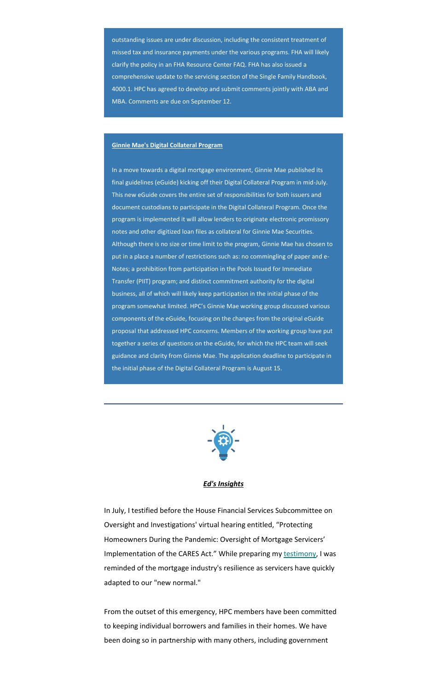outstanding issues are under discussion, including the consistent treatment of missed tax and insurance payments under the various programs. FHA will likely clarify the policy in an FHA Resource Center FAQ. FHA has also issued a comprehensive update to the servicing section of the Single Family Handbook, 4000.1. HPC has agreed to develop and submit comments jointly with ABA and MBA. Comments are due on September 12.

#### **Ginnie Mae's Digital Collateral Program**

In a move towards a digital mortgage environment, Ginnie Mae published its final guidelines (eGuide) kicking off their Digital Collateral Program in mid-July. This new eGuide covers the entire set of responsibilities for both issuers and document custodians to participate in the Digital Collateral Program. Once the program is implemented it will allow lenders to originate electronic promissory notes and other digitized loan files as collateral for Ginnie Mae Securities. Although there is no size or time limit to the program, Ginnie Mae has chosen to put in a place a number of restrictions such as: no commingling of paper and e-Notes; a prohibition from participation in the Pools Issued for Immediate Transfer (PIIT) program; and distinct commitment authority for the digital business, all of which will likely keep participation in the initial phase of the program somewhat limited. HPC's Ginnie Mae working group discussed various components of the eGuide, focusing on the changes from the original eGuide proposal that addressed HPC concerns. Members of the working group have put together a series of questions on the eGuide, for which the HPC team will seek guidance and clarity from Ginnie Mae. The application deadline to participate in the initial phase of the Digital Collateral Program is August 15.



*Ed's Insights*

<span id="page-2-0"></span>In July, I testified before the House Financial Services Subcommittee on Oversight and Investigations' virtual hearing entitled, "Protecting Homeowners During the Pandemic: Oversight of Mortgage Servicers' Implementation of the CARES Act." While preparing my [testimony,](https://housingpolicycouncil.us4.list-manage.com/track/click?u=5140623077e4523696cc45400&id=70379e2059&e=c1f6e13f3b) I was reminded of the mortgage industry's resilience as servicers have quickly adapted to our "new normal."

From the outset of this emergency, HPC members have been committed to keeping individual borrowers and families in their homes. We have been doing so in partnership with many others, including government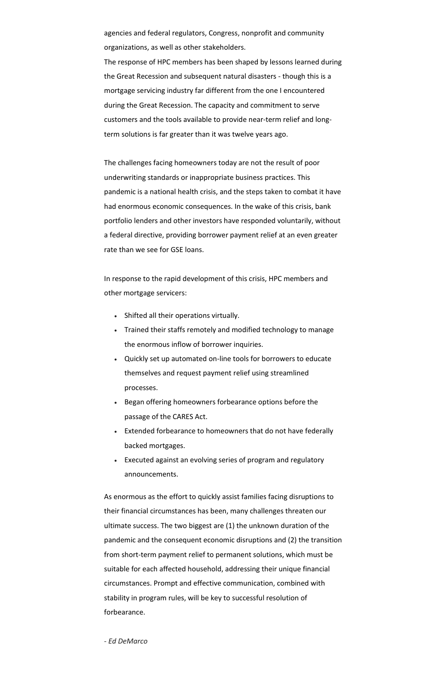agencies and federal regulators, Congress, nonprofit and community organizations, as well as other stakeholders.

The response of HPC members has been shaped by lessons learned during the Great Recession and subsequent natural disasters - though this is a mortgage servicing industry far different from the one I encountered during the Great Recession. The capacity and commitment to serve customers and the tools available to provide near-term relief and longterm solutions is far greater than it was twelve years ago.

The challenges facing homeowners today are not the result of poor underwriting standards or inappropriate business practices. This pandemic is a national health crisis, and the steps taken to combat it have had enormous economic consequences. In the wake of this crisis, bank portfolio lenders and other investors have responded voluntarily, without a federal directive, providing borrower payment relief at an even greater rate than we see for GSE loans.

In response to the rapid development of this crisis, HPC members and other mortgage servicers:

- Shifted all their operations virtually.
- Trained their staffs remotely and modified technology to manage the enormous inflow of borrower inquiries.
- Quickly set up automated on-line tools for borrowers to educate themselves and request payment relief using streamlined processes.
- Began offering homeowners forbearance options before the passage of the CARES Act.
- Extended forbearance to homeowners that do not have federally backed mortgages.
- Executed against an evolving series of program and regulatory announcements.

As enormous as the effort to quickly assist families facing disruptions to

their financial circumstances has been, many challenges threaten our ultimate success. The two biggest are (1) the unknown duration of the pandemic and the consequent economic disruptions and (2) the transition from short-term payment relief to permanent solutions, which must be suitable for each affected household, addressing their unique financial circumstances. Prompt and effective communication, combined with stability in program rules, will be key to successful resolution of forbearance.

- *Ed DeMarco*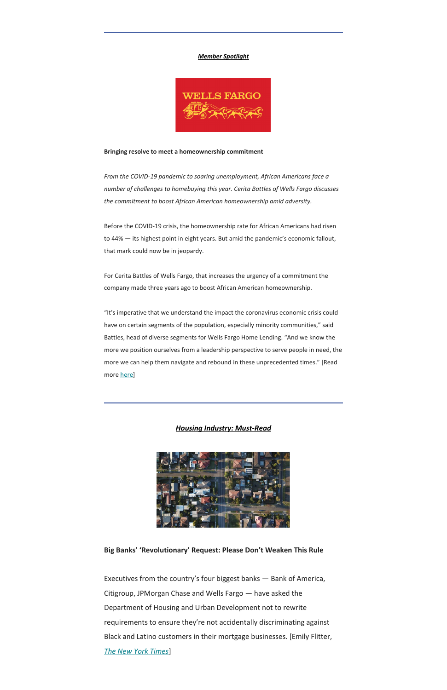#### *Member Spotlight*

<span id="page-4-0"></span>

#### **Bringing resolve to meet a homeownership commitment**

*From the COVID-19 pandemic to soaring unemployment, African Americans face a number of challenges to homebuying this year. Cerita Battles of Wells Fargo discusses the commitment to boost African American homeownership amid adversity.*

"It's imperative that we understand the impact the coronavirus economic crisis could have on certain segments of the population, especially minority communities," said Battles, head of diverse segments for Wells Fargo Home Lending. "And we know the more we position ourselves from a leadership perspective to serve people in need, the more we can help them navigate and rebound in these unprecedented times." [Read more [here\]](https://housingpolicycouncil.us4.list-manage.com/track/click?u=5140623077e4523696cc45400&id=e510a0d0f0&e=c1f6e13f3b)

Before the COVID-19 crisis, the homeownership rate for African Americans had risen to 44% — its highest point in eight years. But amid the pandemic's economic fallout, that mark could now be in jeopardy.

For Cerita Battles of Wells Fargo, that increases the urgency of a commitment the company made three years ago to boost African American homeownership.

*Housing Industry: Must-Read*

<span id="page-4-1"></span>

# **Big Banks' 'Revolutionary' Request: Please Don't Weaken This Rule**

Executives from the country's four biggest banks — Bank of America, Citigroup, JPMorgan Chase and Wells Fargo — have asked the Department of Housing and Urban Development not to rewrite requirements to ensure they're not accidentally discriminating against Black and Latino customers in their mortgage businesses. [Emily Flitter, *[The New York Times](https://housingpolicycouncil.us4.list-manage.com/track/click?u=5140623077e4523696cc45400&id=df136266de&e=c1f6e13f3b)*]